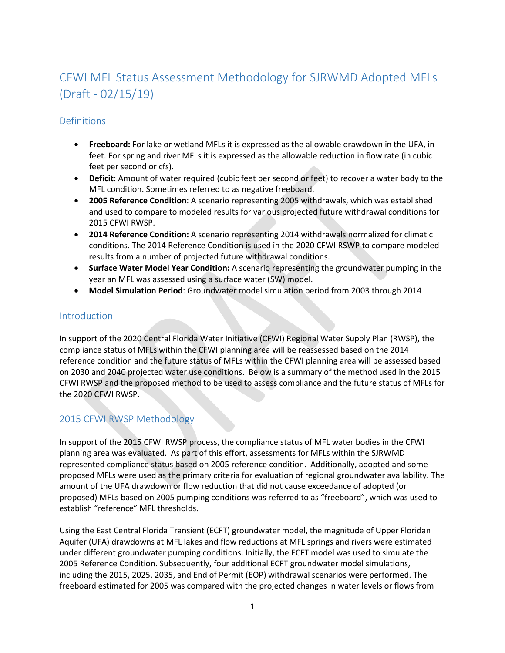# CFWI MFL Status Assessment Methodology for SJRWMD Adopted MFLs (Draft - 02/15/19)

## **Definitions**

- **Freeboard:** For lake or wetland MFLs it is expressed as the allowable drawdown in the UFA, in feet. For spring and river MFLs it is expressed as the allowable reduction in flow rate (in cubic feet per second or cfs).
- **Deficit**: Amount of water required (cubic feet per second or feet) to recover a water body to the MFL condition. Sometimes referred to as negative freeboard.
- **2005 Reference Condition**: A scenario representing 2005 withdrawals, which was established and used to compare to modeled results for various projected future withdrawal conditions for 2015 CFWI RWSP.
- **2014 Reference Condition:** A scenario representing 2014 withdrawals normalized for climatic conditions. The 2014 Reference Condition is used in the 2020 CFWI RSWP to compare modeled results from a number of projected future withdrawal conditions.
- **Surface Water Model Year Condition:** A scenario representing the groundwater pumping in the year an MFL was assessed using a surface water (SW) model.
- **Model Simulation Period**: Groundwater model simulation period from 2003 through 2014

## **Introduction**

In support of the 2020 Central Florida Water Initiative (CFWI) Regional Water Supply Plan (RWSP), the compliance status of MFLs within the CFWI planning area will be reassessed based on the 2014 reference condition and the future status of MFLs within the CFWI planning area will be assessed based on 2030 and 2040 projected water use conditions. Below is a summary of the method used in the 2015 CFWI RWSP and the proposed method to be used to assess compliance and the future status of MFLs for the 2020 CFWI RWSP.

# 2015 CFWI RWSP Methodology

In support of the 2015 CFWI RWSP process, the compliance status of MFL water bodies in the CFWI planning area was evaluated. As part of this effort, assessments for MFLs within the SJRWMD represented compliance status based on 2005 reference condition. Additionally, adopted and some proposed MFLs were used as the primary criteria for evaluation of regional groundwater availability. The amount of the UFA drawdown or flow reduction that did not cause exceedance of adopted (or proposed) MFLs based on 2005 pumping conditions was referred to as "freeboard", which was used to establish "reference" MFL thresholds.

Using the East Central Florida Transient (ECFT) groundwater model, the magnitude of Upper Floridan Aquifer (UFA) drawdowns at MFL lakes and flow reductions at MFL springs and rivers were estimated under different groundwater pumping conditions. Initially, the ECFT model was used to simulate the 2005 Reference Condition. Subsequently, four additional ECFT groundwater model simulations, including the 2015, 2025, 2035, and End of Permit (EOP) withdrawal scenarios were performed. The freeboard estimated for 2005 was compared with the projected changes in water levels or flows from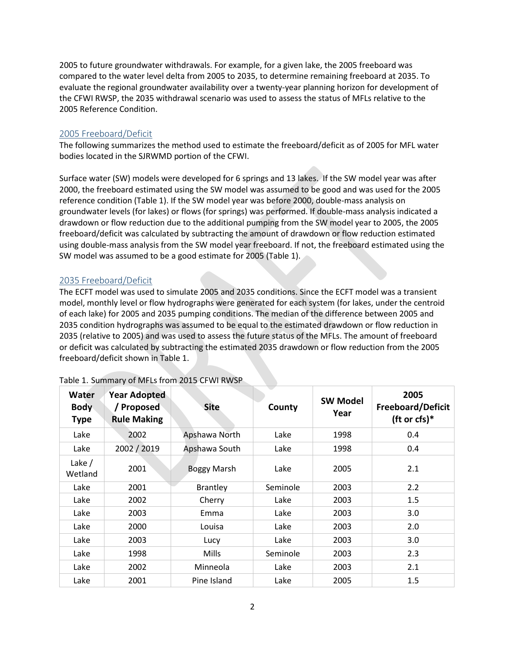2005 to future groundwater withdrawals. For example, for a given lake, the 2005 freeboard was compared to the water level delta from 2005 to 2035, to determine remaining freeboard at 2035. To evaluate the regional groundwater availability over a twenty-year planning horizon for development of the CFWI RWSP, the 2035 withdrawal scenario was used to assess the status of MFLs relative to the 2005 Reference Condition.

## 2005 Freeboard/Deficit

The following summarizes the method used to estimate the freeboard/deficit as of 2005 for MFL water bodies located in the SJRWMD portion of the CFWI.

Surface water (SW) models were developed for 6 springs and 13 lakes. If the SW model year was after 2000, the freeboard estimated using the SW model was assumed to be good and was used for the 2005 reference condition (Table 1). If the SW model year was before 2000, double-mass analysis on groundwater levels (for lakes) or flows (for springs) was performed. If double-mass analysis indicated a drawdown or flow reduction due to the additional pumping from the SW model year to 2005, the 2005 freeboard/deficit was calculated by subtracting the amount of drawdown or flow reduction estimated using double-mass analysis from the SW model year freeboard. If not, the freeboard estimated using the SW model was assumed to be a good estimate for 2005 (Table 1).

#### 2035 Freeboard/Deficit

The ECFT model was used to simulate 2005 and 2035 conditions. Since the ECFT model was a transient model, monthly level or flow hydrographs were generated for each system (for lakes, under the centroid of each lake) for 2005 and 2035 pumping conditions. The median of the difference between 2005 and 2035 condition hydrographs was assumed to be equal to the estimated drawdown or flow reduction in 2035 (relative to 2005) and was used to assess the future status of the MFLs. The amount of freeboard or deficit was calculated by subtracting the estimated 2035 drawdown or flow reduction from the 2005 freeboard/deficit shown in Table 1.

| Water<br><b>Body</b><br><b>Type</b> | <b>Year Adopted</b><br>/ Proposed<br><b>Rule Making</b> | <b>Site</b>        | County   | <b>SW Model</b><br>Year | 2005<br><b>Freeboard/Deficit</b><br>(ft or cfs) $*$ |
|-------------------------------------|---------------------------------------------------------|--------------------|----------|-------------------------|-----------------------------------------------------|
| Lake                                | 2002                                                    | Apshawa North      | Lake     | 1998                    | 0.4                                                 |
| Lake                                | 2002 / 2019                                             | Apshawa South      | Lake     | 1998                    | 0.4                                                 |
| Lake $/$<br>Wetland                 | 2001                                                    | <b>Boggy Marsh</b> | Lake     | 2005                    | 2.1                                                 |
| Lake                                | 2001                                                    | <b>Brantley</b>    | Seminole | 2003                    | 2.2                                                 |
| Lake                                | 2002                                                    | Cherry             | Lake     | 2003                    | 1.5                                                 |
| Lake                                | 2003                                                    | Emma               | Lake     | 2003                    | 3.0                                                 |
| Lake                                | 2000                                                    | Louisa             | Lake     | 2003                    | 2.0                                                 |
| Lake                                | 2003                                                    | Lucy               | Lake     | 2003                    | 3.0                                                 |
| Lake                                | 1998                                                    | Mills              | Seminole | 2003                    | 2.3                                                 |
| Lake                                | 2002                                                    | Minneola           | Lake     | 2003                    | 2.1                                                 |
| Lake                                | 2001                                                    | Pine Island        | Lake     | 2005                    | 1.5                                                 |

#### Table 1. Summary of MFLs from 2015 CFWI RWSP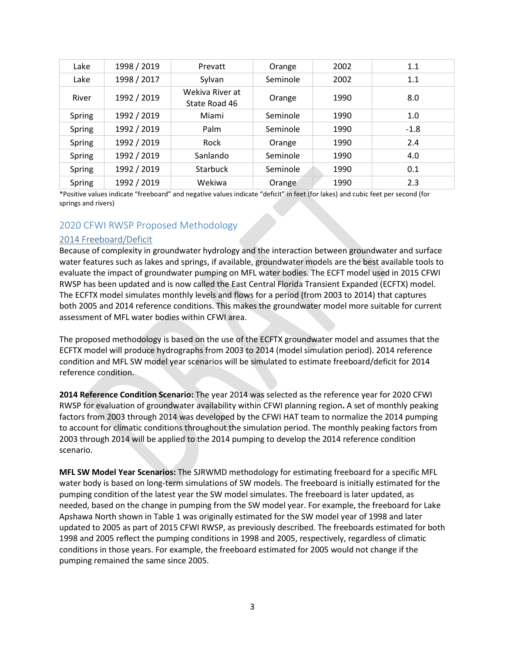| Lake   | 1998 / 2019 | Prevatt                          | Orange   | 2002 | 1.1    |
|--------|-------------|----------------------------------|----------|------|--------|
| Lake   | 1998 / 2017 | Sylvan                           | Seminole | 2002 | 1.1    |
| River  | 1992 / 2019 | Wekiva River at<br>State Road 46 | Orange   | 1990 | 8.0    |
| Spring | 1992 / 2019 | Miami                            | Seminole | 1990 | 1.0    |
| Spring | 1992 / 2019 | Palm                             | Seminole | 1990 | $-1.8$ |
| Spring | 1992 / 2019 | Rock                             | Orange   | 1990 | 2.4    |
| Spring | 1992 / 2019 | Sanlando                         | Seminole | 1990 | 4.0    |
| Spring | 1992 / 2019 | <b>Starbuck</b>                  | Seminole | 1990 | 0.1    |
| Spring | 1992 / 2019 | Wekiwa                           | Orange   | 1990 | 2.3    |

\*Positive values indicate "freeboard" and negative values indicate "deficit" in feet (for lakes) and cubic feet per second (for springs and rivers)

#### 2020 CFWI RWSP Proposed Methodology

#### 2014 Freeboard/Deficit

Because of complexity in groundwater hydrology and the interaction between groundwater and surface water features such as lakes and springs, if available, groundwater models are the best available tools to evaluate the impact of groundwater pumping on MFL water bodies. The ECFT model used in 2015 CFWI RWSP has been updated and is now called the East Central Florida Transient Expanded (ECFTX) model. The ECFTX model simulates monthly levels and flows for a period (from 2003 to 2014) that captures both 2005 and 2014 reference conditions. This makes the groundwater model more suitable for current assessment of MFL water bodies within CFWI area.

The proposed methodology is based on the use of the ECFTX groundwater model and assumes that the ECFTX model will produce hydrographs from 2003 to 2014 (model simulation period). 2014 reference condition and MFL SW model year scenarios will be simulated to estimate freeboard/deficit for 2014 reference condition.

**2014 Reference Condition Scenario:** The year 2014 was selected as the reference year for 2020 CFWI RWSP for evaluation of groundwater availability within CFWI planning region**.** A set of monthly peaking factors from 2003 through 2014 was developed by the CFWI HAT team to normalize the 2014 pumping to account for climatic conditions throughout the simulation period. The monthly peaking factors from 2003 through 2014 will be applied to the 2014 pumping to develop the 2014 reference condition scenario.

**MFL SW Model Year Scenarios:** The SJRWMD methodology for estimating freeboard for a specific MFL water body is based on long-term simulations of SW models. The freeboard is initially estimated for the pumping condition of the latest year the SW model simulates. The freeboard is later updated, as needed, based on the change in pumping from the SW model year. For example, the freeboard for Lake Apshawa North shown in Table 1 was originally estimated for the SW model year of 1998 and later updated to 2005 as part of 2015 CFWI RWSP, as previously described. The freeboards estimated for both 1998 and 2005 reflect the pumping conditions in 1998 and 2005, respectively, regardless of climatic conditions in those years. For example, the freeboard estimated for 2005 would not change if the pumping remained the same since 2005.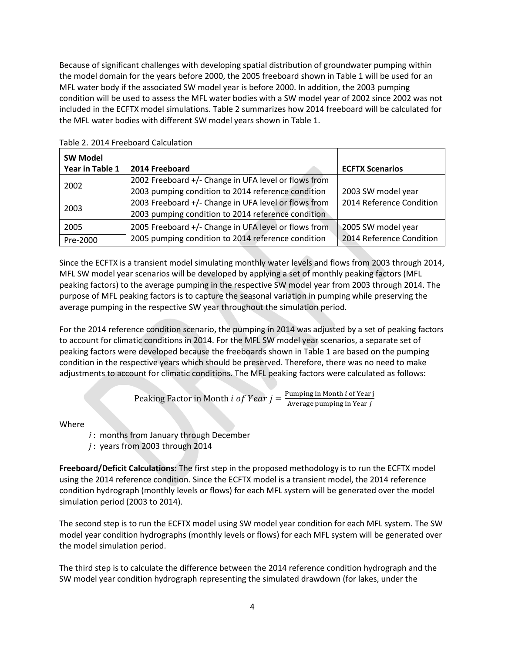Because of significant challenges with developing spatial distribution of groundwater pumping within the model domain for the years before 2000, the 2005 freeboard shown in Table 1 will be used for an MFL water body if the associated SW model year is before 2000. In addition, the 2003 pumping condition will be used to assess the MFL water bodies with a SW model year of 2002 since 2002 was not included in the ECFTX model simulations. Table 2 summarizes how 2014 freeboard will be calculated for the MFL water bodies with different SW model years shown in Table 1.

| <b>SW Model</b><br>Year in Table 1 | 2014 Freeboard                                                                                             | <b>ECFTX Scenarios</b>                         |
|------------------------------------|------------------------------------------------------------------------------------------------------------|------------------------------------------------|
| 2002                               | 2002 Freeboard +/- Change in UFA level or flows from<br>2003 pumping condition to 2014 reference condition | 2003 SW model year                             |
| 2003                               | 2003 Freeboard +/- Change in UFA level or flows from<br>2003 pumping condition to 2014 reference condition | 2014 Reference Condition                       |
| 2005<br>Pre-2000                   | 2005 Freeboard +/- Change in UFA level or flows from<br>2005 pumping condition to 2014 reference condition | 2005 SW model year<br>2014 Reference Condition |

Table 2. 2014 Freeboard Calculation

Since the ECFTX is a transient model simulating monthly water levels and flows from 2003 through 2014, MFL SW model year scenarios will be developed by applying a set of monthly peaking factors (MFL peaking factors) to the average pumping in the respective SW model year from 2003 through 2014. The purpose of MFL peaking factors is to capture the seasonal variation in pumping while preserving the average pumping in the respective SW year throughout the simulation period.

For the 2014 reference condition scenario, the pumping in 2014 was adjusted by a set of peaking factors to account for climatic conditions in 2014. For the MFL SW model year scenarios, a separate set of peaking factors were developed because the freeboards shown in Table 1 are based on the pumping condition in the respective years which should be preserved. Therefore, there was no need to make adjustments to account for climatic conditions. The MFL peaking factors were calculated as follows:

Peaking Factor in Month *i* of Year 
$$
j = \frac{\text{Pumping in Month } i \text{ of Year } j}{\text{Average pumping in Year } j}
$$

Where

- *i* : months from January through December
- *j* : years from 2003 through 2014

**Freeboard/Deficit Calculations:** The first step in the proposed methodology is to run the ECFTX model using the 2014 reference condition. Since the ECFTX model is a transient model, the 2014 reference condition hydrograph (monthly levels or flows) for each MFL system will be generated over the model simulation period (2003 to 2014).

The second step is to run the ECFTX model using SW model year condition for each MFL system. The SW model year condition hydrographs (monthly levels or flows) for each MFL system will be generated over the model simulation period.

The third step is to calculate the difference between the 2014 reference condition hydrograph and the SW model year condition hydrograph representing the simulated drawdown (for lakes, under the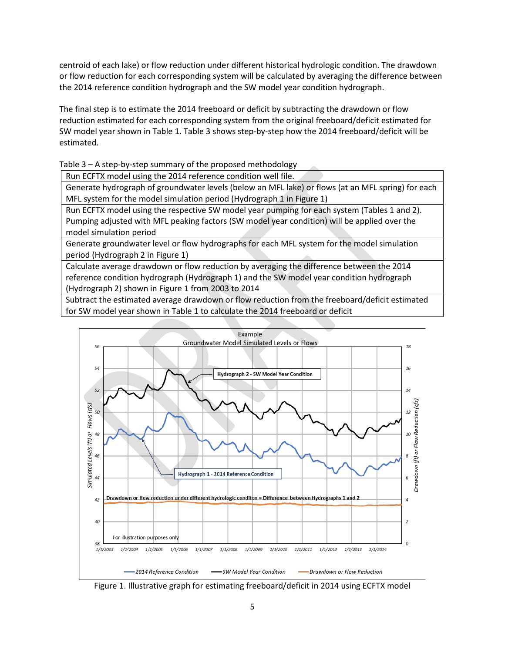centroid of each lake) or flow reduction under different historical hydrologic condition. The drawdown or flow reduction for each corresponding system will be calculated by averaging the difference between the 2014 reference condition hydrograph and the SW model year condition hydrograph.

The final step is to estimate the 2014 freeboard or deficit by subtracting the drawdown or flow reduction estimated for each corresponding system from the original freeboard/deficit estimated for SW model year shown in Table 1. Table 3 shows step-by-step how the 2014 freeboard/deficit will be estimated.

Table 3 – A step-by-step summary of the proposed methodology

Run ECFTX model using the 2014 reference condition well file.

Generate hydrograph of groundwater levels (below an MFL lake) or flows (at an MFL spring) for each MFL system for the model simulation period (Hydrograph 1 in Figure 1)

Run ECFTX model using the respective SW model year pumping for each system (Tables 1 and 2). Pumping adjusted with MFL peaking factors (SW model year condition) will be applied over the model simulation period

Generate groundwater level or flow hydrographs for each MFL system for the model simulation period (Hydrograph 2 in Figure 1)

Calculate average drawdown or flow reduction by averaging the difference between the 2014 reference condition hydrograph (Hydrograph 1) and the SW model year condition hydrograph (Hydrograph 2) shown in Figure 1 from 2003 to 2014

Subtract the estimated average drawdown or flow reduction from the freeboard/deficit estimated for SW model year shown in Table 1 to calculate the 2014 freeboard or deficit



Figure 1. Illustrative graph for estimating freeboard/deficit in 2014 using ECFTX model